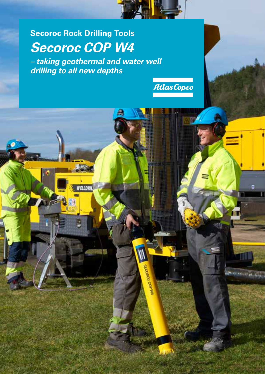

### **Secoroc Rock Drilling Tools** *Secoroc COP W4*

ELLDRIL

16

**SECOROC COPYRA** 

n

*– taking geothermal and water well drilling to all new depths*



o

then any minutes in which

т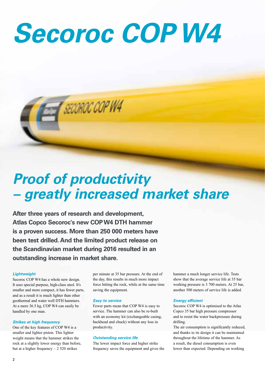# *Secoroc COP W4*



## *Proof of productivity – greatly increased market share*

**After three years of research and development, Atlas Copco Secoroc's new COP W4 DTH hammer is a proven success. More than 250 000 meters have been test drilled. And the limited product release on the Scandinavian market during 2016 resulted in an outstanding increase in market share.**

### *Lightweight*

Secoroc COP W4 has a whole new design. It uses special purpose, high-class steel. It's smaller and more compact, it has fewer parts, and as a result it is much lighter than other geothermal and water well DTH hammers. At a mere 36.5 kg, COP W4 can easily be handled by one man.

### *Strikes at high frequency*

One of the key features of COP W4 is a smaller and lighter piston. This lighter weight means that the hammer strikes the rock at a slightly lower energy than before, but at a higher frequency – 2 520 strikes

per minute at 35 bar pressure. At the end of the day, this results in much more impact force hitting the rock, while at the same time saving the equipment.

#### *Easy to service*

Fewer parts mean that COP W4 is easy to service. The hammer can also be re-built with an economy kit (exchangeable casing, backhead and chuck) without any loss in productivity.

### *Outstanding service life*

The lower impact force and higher strike frequency saves the equipment and gives the hammer a much longer service life. Tests show that the average service life at 35 bar working pressure is 3 700 meters. At 25 bar, another 500 meters of service life is added.

#### *Energy efficient*

Secoroc COP W4 is optimised to the Atlas Copco 35 bar high pressure compressor and to resist the water backpressure during drilling.

The air consumption is significantly reduced, and thanks to its design it can be maintained throughout the lifetime of the hammer. As a result, the diesel consumption is even lower than expected. Depending on working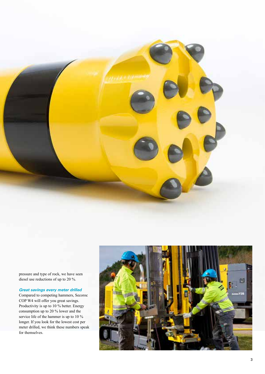

pressure and type of rock, we have seen diesel use reductions of up to 20 %.

### *Great savings every meter drilled*

Compared to competing hammers, Secoroc COP W4 will offer you great savings. Productivity is up to 10 % better. Energy consumption up to 20 % lower and the service life of the hammer is up to 10 % longer. If you look for the lowest cost per meter drilled, we think these numbers speak for themselves.

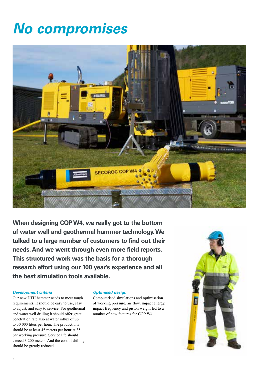### *No compromises*



**When designing COP W4, we really got to the bottom of water well and geothermal hammer technology. We talked to a large number of customers to find out their needs. And we went through even more field reports. This structured work was the basis for a thorough research effort using our 100 year's experience and all the best simulation tools available.**

#### *Development criteria*

Our new DTH hammer needs to meet tough requirements. It should be easy to use, easy to adjust, and easy to service. For geothermal and water well drilling it should offer great penetration rate also at water influx of up to 30 000 liters per hour. The productivity should be at least 45 meters per hour at 35 bar working pressure. Service life should exceed 3 200 meters. And the cost of drilling should be greatly reduced.

### *Optimised design*

Computerised simulations and optimisation of working pressure, air flow, impact energy, impact frequency and piston weight led to a number of new features for COP W4.

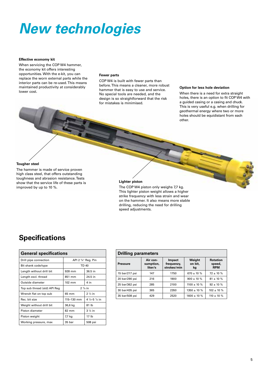# *New technologies*

#### **Effective economy kit**

When servicing the COP W4 hammer, the economy kit offers interesting opportunities. With the e-kit, you can replace the worn external parts while the interior parts can be re-used. This means maintained productivity at considerably lower cost.

#### **Fewer parts**

COP W4 is built with fewer parts than before. This means a cleaner, more robust hammer that is easy to use and service. No special tools are needed, and the design is so straightforward that the risk for mistakes is minimised.

#### **Option for less hole deviation**

When there is a need for extra straight holes, there is an option to fit COP W4 with a guided casing or a casing and chuck. This is very useful e.g. when drilling for geothermal energy where two or more holes should be equidistant from each other.

### **Tougher steel**

The hammer is made of service proven high class steel, that offers outstanding toughness and abrasion resistance. Tests show that the service life of these parts is improved by up to 10 %.

### **Lighter piston**

The COP W4 piston only weighs 7,7 kg. This lighter piston weight allows a higher strike frequency with less strain and wear on the hammer. It also means more stable drilling, reducing the need for drilling speed adjustments.

### **Specifications**

| <b>General specifications</b> |                                |                                     |  |  |  |  |  |
|-------------------------------|--------------------------------|-------------------------------------|--|--|--|--|--|
| Drill pipe connection         | API 2 $\frac{3}{8}$ " Reg. Pin |                                     |  |  |  |  |  |
| Bit shank code/type           | <b>TD 40</b>                   |                                     |  |  |  |  |  |
| Length without drill bit      | 928 mm                         | 36.5 in                             |  |  |  |  |  |
| Length excl. thread           | 851 mm                         | 24.5 in                             |  |  |  |  |  |
| Outside diameter              | $102 \text{ mm}$               | 4 in                                |  |  |  |  |  |
| Top sub thread (std) API Reg  | $2^{3}/_{8}$ in                |                                     |  |  |  |  |  |
| Wrench flat on top sub        | 65 mm                          | $2\frac{1}{2}$ in                   |  |  |  |  |  |
| Rec. bit size                 | 115-130 mm                     | 4 $\frac{1}{2}$ -5 $\frac{1}{8}$ in |  |  |  |  |  |
| Weight without drill bit      | 36,6 kg                        | 81 lb                               |  |  |  |  |  |
| Piston diameter               | 82 mm                          | $3\frac{1}{4}$ in                   |  |  |  |  |  |
| Piston weight                 | 7,7 kg                         | 17 lb                               |  |  |  |  |  |
| Working pressure, max         | 35 bar                         | 508 psi                             |  |  |  |  |  |

| <b>Drilling parameters</b> |                                  |                                            |                         |                                         |  |  |  |
|----------------------------|----------------------------------|--------------------------------------------|-------------------------|-----------------------------------------|--|--|--|
| <b>Pressure</b>            | Air con-<br>sumption,<br>liter/s | <b>Impact</b><br>frequenzy,<br>strokes/min | Weight<br>on bit,<br>kg | <b>Rotation</b><br>speed,<br><b>RPM</b> |  |  |  |
| 15 bar/217 psi             | 147                              | 1750                                       | $670 \pm 10 \%$         | $72 \pm 10 \%$                          |  |  |  |
| 20 bar/290 psi             | 216                              | 1900                                       | $900 + 10 %$            | $81 \pm 10 \%$                          |  |  |  |
| 25 bar/362 psi             | 285                              | 2100                                       | $1100 + 10 %$           | $92 + 10 %$                             |  |  |  |
| 30 bar/435 psi             | 365                              | 2350                                       | $1350 \pm 10 \%$        | $102 \pm 10 \%$                         |  |  |  |
| 35 bar/508 psi             | 429                              | 2520                                       | $1600 \pm 10 \%$        | $110 \pm 10 \%$                         |  |  |  |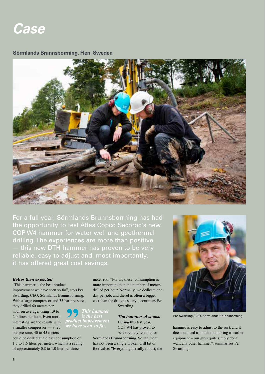

### **Sörmlands Brunnsborrning, Flen, Sweden**



For a full year, Sörmlands Brunnsborrning has had the opportunity to test Atlas Copco Secoroc's new COP W4 hammer for water well and geothermal drilling. The experiences are more than positive — this new DTH hammer has proven to be very reliable, easy to adjust and, most importantly, it has offered great cost savings.

### *Better than expected*

"This hammer is the best product improvement we have seen so far", says Per Swartling, CEO, Sörmlands Brunnsborrning. With a large compressor and 35 bar pressure,

they drilled 60 meters per hour on average, using 1.9 to 2.0 litres per hour. Even more interesting are the results with a smaller compressor — at 25 bar pressure, 40 to 45 meters

could be drilled at a diesel consumption of 1.5 to 1.6 liters per meter, which is a saving of approximately 0.8 to 1.0 liter per threemeter rod. "For us, diesel consumption is more important than the number of meters drilled per hour. Normally, we dedicate one day per job, and diesel is often a bigger cost than the driller's salary", continues Per Swartling.

*C<sub>C</sub> This hammer is the best product improvement* 

*The hammer of choice* During this test year, COP W4 has proven to be extremely reliable for

Sörmlands Brunnsborrning. So far, there has not been a single broken drill bit or foot valve. "Everything is really robust, the



Per Swartling, CEO, Sörmlands Brunnsborrning.

hammer is easy to adjust to the rock and it does not need as much monitoring as earlier equipment – our guys quite simply don't want any other hammer", summarises Per Swartling.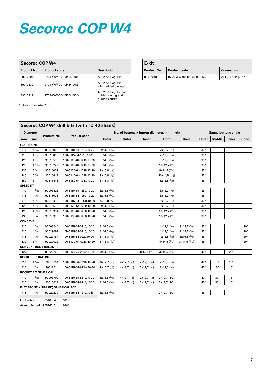# *Secoroc COP W4*

| Secoroc COP W4 |                       |                                                                           |  |  |  |  |
|----------------|-----------------------|---------------------------------------------------------------------------|--|--|--|--|
| Product No.    | <b>Description</b>    |                                                                           |  |  |  |  |
| 89012204       | 9704-WW-00-10P-64-000 | API 2 $\frac{3}{8}$ " Reg. Pin                                            |  |  |  |  |
| 89012330       | 9704-WW-00-10P-64-00G | API 2 $\frac{3}{8}$ " Reg. Pin<br>with guided casing*                     |  |  |  |  |
| 89012319       | 9704-WW-00-10P-64-G0G | API 2 $\frac{3}{8}$ " Reg. Pin with<br>guided casing and<br>guided chuck* |  |  |  |  |

| E-kit       |                           |                                |  |  |  |  |  |
|-------------|---------------------------|--------------------------------|--|--|--|--|--|
| Product No. | <b>Connection</b>         |                                |  |  |  |  |  |
| 89012218    | 9704-WW-00-10P-64-000-K40 | API 2 $\frac{3}{8}$ " Reg. Pin |  |  |  |  |  |

\* Outer diameter 114 mm

| Secoroc COP W4 drill bits (with TD 40 shank) |                      |                               |                         |                                             |                            |                             |                              |                             |                            |               |              |             |
|----------------------------------------------|----------------------|-------------------------------|-------------------------|---------------------------------------------|----------------------------|-----------------------------|------------------------------|-----------------------------|----------------------------|---------------|--------------|-------------|
| <b>Diameter</b>                              |                      |                               |                         | No. of buttons x button diameter, mm (inch) |                            |                             |                              |                             | <b>Gauge buttons angle</b> |               |              |             |
| mm                                           | inch                 | Product No.                   | <b>Product code</b>     | Outer                                       | Outer                      | Inner                       | Front                        | Cone                        | Outer                      | <b>Middle</b> | Inner        | Cone        |
|                                              | <b>FLAT FRONT</b>    |                               |                         |                                             |                            |                             |                              |                             |                            |               |              |             |
| 110                                          | $4\frac{5}{16}$      | 90516005                      | 100-5110-64-1210,10-20  | $8x14,5$ ( $9/16$ )                         |                            |                             | 7x12,7 (1/2)                 |                             | 35°                        |               |              |             |
| 115                                          | $4\frac{1}{2}$       | 90516006                      | 100-5115-64-1210,10-20  | $8x14,5$ ( $\frac{9}{16}$ )                 |                            |                             | 7x12,7(1/2)                  |                             | 35°                        |               |              |             |
| 120                                          | $4\frac{3}{4}$       | 90516506                      | 100-5120-64-1210,10-20  | $8x14,5$ ( $\frac{9}{16}$ )                 |                            |                             | $8x12,7$ ( $\frac{1}{2}$ )   |                             | $35^\circ$                 |               |              |             |
| 125                                          | $4^{15}/_{16}$       | 90516227                      | 100-5125-64-1210,10-20  | $8x14,5$ ( $\frac{9}{16}$ )                 |                            |                             | $10x12,7$ ( $\frac{1}{2}$ )  |                             | 35°                        |               |              |             |
| 130                                          | $5\frac{1}{8}$       | 90516007                      | 100-5130-64-1218,10-20  | $8x15,8$ ( $\frac{5}{8}$ )                  |                            |                             | $8x14,5$ ( $\frac{9}{16}$ )  |                             | 35°                        |               |              |             |
| 140                                          | $5\frac{1}{2}$       | 90516447                      | 100-5140-64-1218,10-20  | $8x15,8$ ( $\frac{5}{8}$ )                  |                            |                             | $10x14,5$ ( $\frac{9}{16}$ ) |                             | $35^\circ$                 |               |              |             |
| 152                                          | 6                    | 90516446                      | 100-5152-64-1217,10-20  | $8x15,8$ ( $\frac{5}{8}$ )                  |                            |                             | $8x15,8$ ( $\frac{5}{8}$ )   |                             | $35^\circ$                 |               |              |             |
| <b>SPEEDBIT</b>                              |                      |                               |                         |                                             |                            |                             |                              |                             |                            |               |              |             |
| 110                                          | $4\frac{5}{16}$      | 90003521                      | 100-5110-64-1250,10-20  | $8x14,5$ ( $\frac{9}{16}$ )                 |                            |                             | $8x12,7$ ( $\frac{1}{2}$ )   |                             | $35^\circ$                 |               |              |             |
| 115                                          | $4\frac{1}{2}$       | 90516008                      | 100-5115-64-1250,10-20  | $8x14,5$ ( $9/_{16}$ )                      |                            |                             | $8x12,7$ ( $\frac{1}{2}$ )   |                             | 35°                        |               |              |             |
| 115                                          | $4\frac{1}{2}$       | 90516450                      | 100-5115-64-12H8,10-20  | $8x15,8$ ( $\frac{5}{8}$ )                  |                            |                             | $6x12,7$ ( $\frac{1}{2}$ )   |                             | $35^\circ$                 |               |              |             |
| 120                                          | $4\frac{3}{4}$       | 90516516                      | 100-5120-64-1250,10-20  | $8x14,5$ ( $\frac{9}{16}$ )                 |                            |                             | $8x12,7$ ( $\frac{1}{2}$ )   |                             | $35^\circ$                 |               |              |             |
| 125                                          | $4^{15/16}$          | 90516364                      | 100-5125-64-1250,10-20  | $8x14,5$ ( $\frac{9}{16}$ )                 |                            |                             | $10x12,7$ ( $\frac{1}{2}$ )  |                             | $35^\circ$                 |               |              |             |
| 130                                          | $5 \frac{1}{8}$      | 90516365                      | 100-5130-64-1250,10-20  | $8x14,5$ ( $\frac{9}{16}$ )                 |                            |                             | $10x12,7$ ( $\frac{1}{2}$ )  |                             | $35^\circ$                 |               |              |             |
| <b>CONCAVE</b>                               |                      |                               |                         |                                             |                            |                             |                              |                             |                            |               |              |             |
| 115                                          | $4\frac{1}{2}$       | 90003644                      | 100-5115-64-0210,10-20  | $8x14,5$ ( $\frac{9}{16}$ )                 |                            |                             | $4x12,7$ ( $\frac{1}{2}$ )   | $2x12,7$ ( $\frac{1}{2}$ )  | $35^\circ$                 |               |              | $-20^\circ$ |
| 115                                          | $4\frac{1}{2}$       | 90029091                      | 10b-5115-64-0210,10-20  | $8x14,5$ ( $\frac{9}{16}$ )                 |                            |                             | $4x12,7$ ( $\frac{1}{2}$ )   | $2x12,7$ ( $\frac{1}{2}$ )  | $35^\circ$                 |               |              | $-20^\circ$ |
| 115                                          | $4\frac{1}{2}$       | 90029164                      | 100-5115-64-0227,10-20  | $8x15,8$ ( $\frac{5}{8}$ )                  |                            |                             | $4x15,8$ ( $\frac{5}{8}$ )   | $3x15,8$ ( $\frac{5}{8}$ )  | $35^{\circ}$               |               |              | $-20^\circ$ |
| 130                                          | $5\frac{1}{8}$       | 90029022                      | 100-5130-64-0218,10-20  | $8x15,8$ ( $\frac{5}{8}$ )                  |                            |                             | $4x14,5$ ( $\frac{9}{16}$ )  | $3x14,5$ ( $\frac{9}{16}$ ) | $35^\circ$                 |               |              | $-20^\circ$ |
|                                              |                      | <b>CONVEX FRONT BALLISTIC</b> |                         |                                             |                            |                             |                              |                             |                            |               |              |             |
| 127                                          | 5                    | 90029253                      | 100-5127-64-2359,10-20  | $7x14,5$ ( $\frac{9}{16}$ )                 |                            | $4x14,5$ ( $\frac{9}{16}$ ) | $3x14,5$ ( $\frac{9}{16}$ )  |                             | $40^{\circ}$               |               | $20^{\circ}$ |             |
|                                              | ROCKET BIT BALLISTIC |                               |                         |                                             |                            |                             |                              |                             |                            |               |              |             |
| 110                                          | $4\frac{5}{16}$      | 90516010                      | 100-5110-64-623A, 10-20 | $8x12,7$ ( $\frac{1}{2}$ )                  | $4x12,7$ ( $\frac{1}{2}$ ) | $2x12,7$ ( $\frac{1}{2}$ )  | $2x12,7$ ( $\frac{1}{2}$ )   |                             | $40^{\circ}$               | 30            | 15°          |             |
| 115                                          | $4\frac{1}{2}$       | 90516011                      | 100-5115-64-623A,10-20  | $8x12,7$ ( $\frac{1}{2}$ )                  | 4x12,7 (1/2)               | 2x12,7(1/2)                 | $2x12,7$ ( $\frac{1}{2}$ )   |                             | $40^{\circ}$               | 30            | 15°          |             |
|                                              |                      | ROCKET BIT SPHERICAL          |                         |                                             |                            |                             |                              |                             |                            |               |              |             |
| 110                                          | $4\frac{5}{16}$      | 90003709                      | 100-5110-64-6210,10-20  | $8x14,5$ ( $\frac{9}{16}$ )                 | 4x12,7 (1/2)               | $2x12,7$ ( $\frac{1}{2}$ )  | 2x12,7(1/2)                  |                             | $40^{\circ}$               | $30^\circ$    | $15^{\circ}$ |             |
| 115                                          | $4\frac{1}{2}$       | 90516012                      | 100-5115-64-6210,10-20  | $8x14,5$ ( $\frac{9}{16}$ )                 | 4x12,7 (1/2)               | 2x12,7(1/2)                 | 2x12,7(1/2)                  |                             | $40^{\circ}$               | $30^\circ$    | $15^{\circ}$ |             |
| FLAT FRONT X-TRA BIT, SPHERICAL PCD          |                      |                               |                         |                                             |                            |                             |                              |                             |                            |               |              |             |
| 115                                          | $4\frac{1}{2}$       | 90029239                      | 100-5115-64-1210,10-B1  | $8x14,5$ ( $\frac{9}{16}$ )                 |                            |                             | 7x12,7 (1/2)                 |                             | 35°                        |               |              |             |
| <b>Foot valve</b>                            |                      | 90516004                      | 9115                    |                                             |                            |                             |                              |                             |                            |               |              |             |
|                                              | <b>Assembly tool</b> | 90516013                      | 9141                    |                                             |                            |                             |                              |                             |                            |               |              |             |